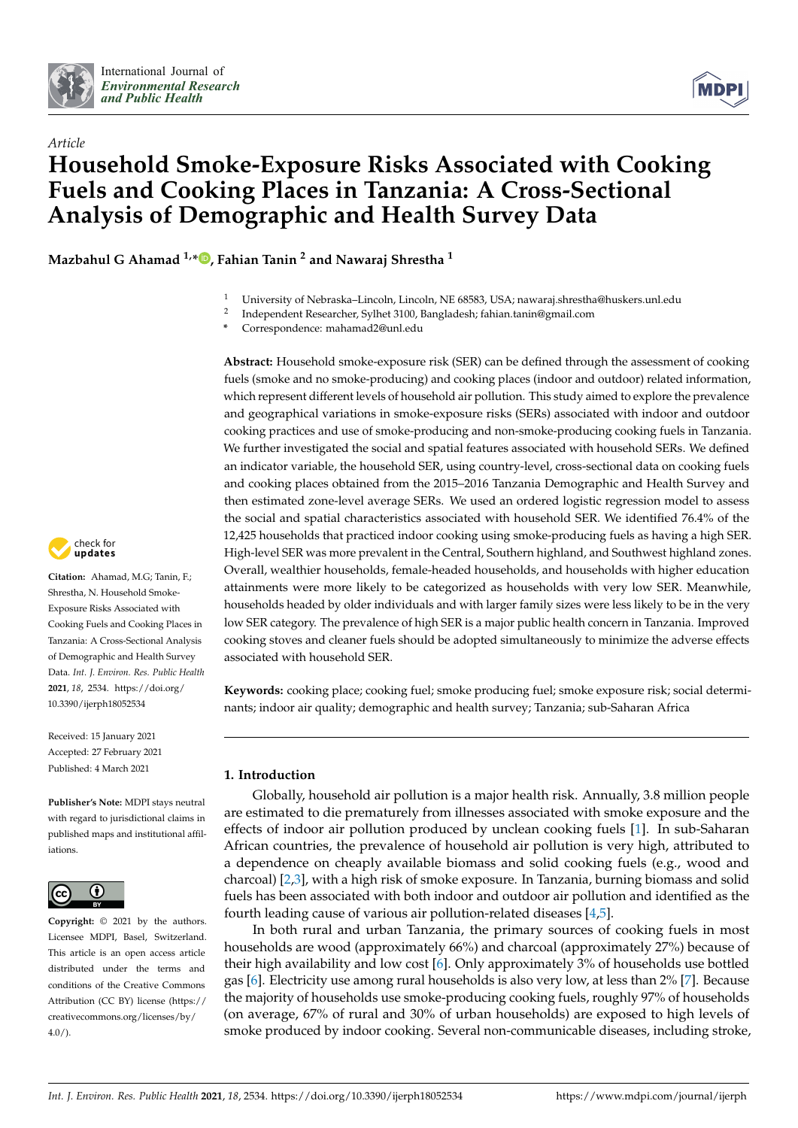



# *Article* **Household Smoke-Exposure Risks Associated with Cooking Fuels and Cooking Places in Tanzania: A Cross-Sectional Analysis of Demographic and Health Survey Data**

**Mazbahul G Ahamad 1,[\\*](https://orcid.org/0000-0002-8765-1898) , Fahian Tanin <sup>2</sup> and Nawaraj Shrestha <sup>1</sup>**

- <sup>1</sup> University of Nebraska–Lincoln, Lincoln, NE 68583, USA; nawaraj.shrestha@huskers.unl.edu
- 2 Independent Researcher, Sylhet 3100, Bangladesh; fahian.tanin@gmail.com
- **\*** Correspondence: mahamad2@unl.edu

**Abstract:** Household smoke-exposure risk (SER) can be defined through the assessment of cooking fuels (smoke and no smoke-producing) and cooking places (indoor and outdoor) related information, which represent different levels of household air pollution. This study aimed to explore the prevalence and geographical variations in smoke-exposure risks (SERs) associated with indoor and outdoor cooking practices and use of smoke-producing and non-smoke-producing cooking fuels in Tanzania. We further investigated the social and spatial features associated with household SERs. We defined an indicator variable, the household SER, using country-level, cross-sectional data on cooking fuels and cooking places obtained from the 2015–2016 Tanzania Demographic and Health Survey and then estimated zone-level average SERs. We used an ordered logistic regression model to assess the social and spatial characteristics associated with household SER. We identified 76.4% of the 12,425 households that practiced indoor cooking using smoke-producing fuels as having a high SER. High-level SER was more prevalent in the Central, Southern highland, and Southwest highland zones. Overall, wealthier households, female-headed households, and households with higher education attainments were more likely to be categorized as households with very low SER. Meanwhile, households headed by older individuals and with larger family sizes were less likely to be in the very low SER category. The prevalence of high SER is a major public health concern in Tanzania. Improved cooking stoves and cleaner fuels should be adopted simultaneously to minimize the adverse effects associated with household SER.

**Keywords:** cooking place; cooking fuel; smoke producing fuel; smoke exposure risk; social determinants; indoor air quality; demographic and health survey; Tanzania; sub-Saharan Africa

# **1. Introduction**

Globally, household air pollution is a major health risk. Annually, 3.8 million people are estimated to die prematurely from illnesses associated with smoke exposure and the effects of indoor air pollution produced by unclean cooking fuels [\[1\]](#page-9-0). In sub-Saharan African countries, the prevalence of household air pollution is very high, attributed to a dependence on cheaply available biomass and solid cooking fuels (e.g., wood and charcoal) [\[2,](#page-9-1)[3\]](#page-9-2), with a high risk of smoke exposure. In Tanzania, burning biomass and solid fuels has been associated with both indoor and outdoor air pollution and identified as the fourth leading cause of various air pollution-related diseases [\[4](#page-9-3)[,5\]](#page-9-4).

In both rural and urban Tanzania, the primary sources of cooking fuels in most households are wood (approximately 66%) and charcoal (approximately 27%) because of their high availability and low cost [\[6\]](#page-9-5). Only approximately 3% of households use bottled gas [\[6\]](#page-9-5). Electricity use among rural households is also very low, at less than 2% [\[7\]](#page-9-6). Because the majority of households use smoke-producing cooking fuels, roughly 97% of households (on average, 67% of rural and 30% of urban households) are exposed to high levels of smoke produced by indoor cooking. Several non-communicable diseases, including stroke,



**Citation:** Ahamad, M.G; Tanin, F.; Shrestha, N. Household Smoke-Exposure Risks Associated with Cooking Fuels and Cooking Places in Tanzania: A Cross-Sectional Analysis of Demographic and Health Survey Data. *Int. J. Environ. Res. Public Health* **2021**, *18*, 2534. [https://doi.org/](https://doi.org/10.3390/ijerph18052534) [10.3390/ijerph18052534](https://doi.org/10.3390/ijerph18052534)

Received: 15 January 2021 Accepted: 27 February 2021 Published: 4 March 2021

**Publisher's Note:** MDPI stays neutral with regard to jurisdictional claims in published maps and institutional affiliations.



**Copyright:** © 2021 by the authors. Licensee MDPI, Basel, Switzerland. This article is an open access article distributed under the terms and conditions of the Creative Commons Attribution (CC BY) license (https:/[/](https://creativecommons.org/licenses/by/4.0/) [creativecommons.org/licenses/by/](https://creativecommons.org/licenses/by/4.0/) 4.0/).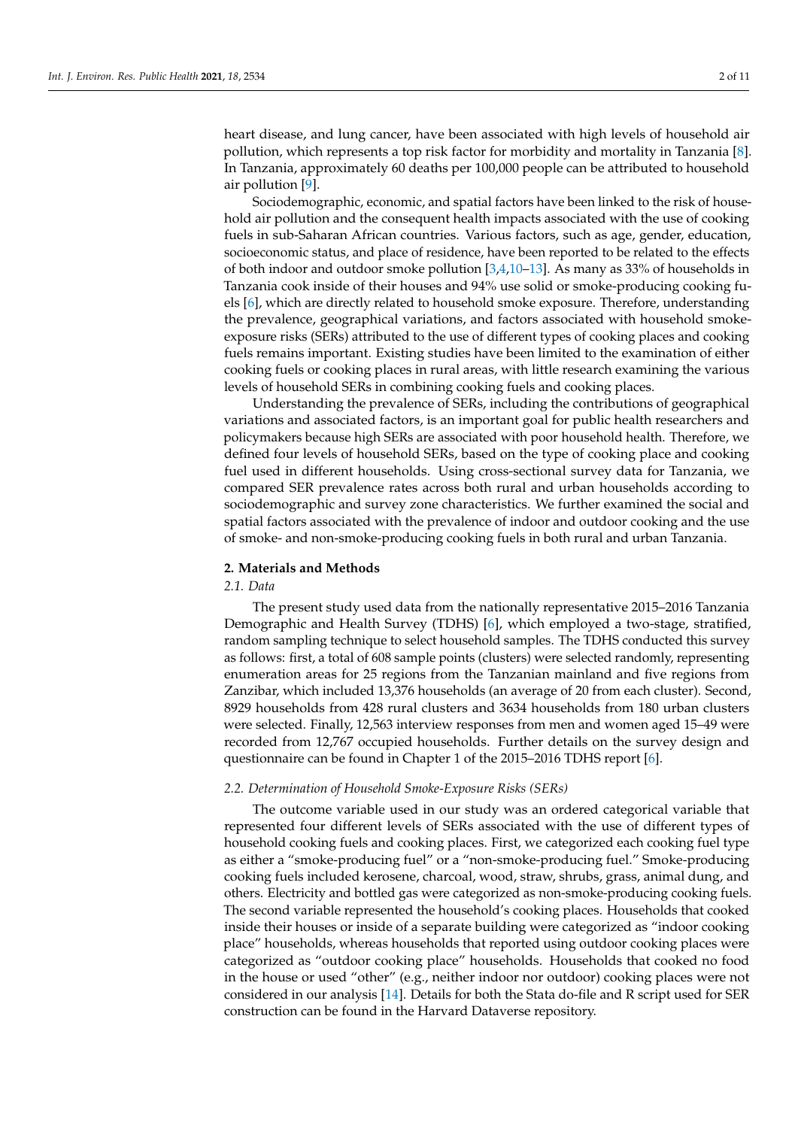heart disease, and lung cancer, have been associated with high levels of household air pollution, which represents a top risk factor for morbidity and mortality in Tanzania [\[8\]](#page-9-7). In Tanzania, approximately 60 deaths per 100,000 people can be attributed to household air pollution [\[9\]](#page-9-8).

Sociodemographic, economic, and spatial factors have been linked to the risk of household air pollution and the consequent health impacts associated with the use of cooking fuels in sub-Saharan African countries. Various factors, such as age, gender, education, socioeconomic status, and place of residence, have been reported to be related to the effects of both indoor and outdoor smoke pollution [\[3,](#page-9-2)[4,](#page-9-3)[10](#page-9-9)[–13\]](#page-10-0). As many as 33% of households in Tanzania cook inside of their houses and 94% use solid or smoke-producing cooking fuels [\[6\]](#page-9-5), which are directly related to household smoke exposure. Therefore, understanding the prevalence, geographical variations, and factors associated with household smokeexposure risks (SERs) attributed to the use of different types of cooking places and cooking fuels remains important. Existing studies have been limited to the examination of either cooking fuels or cooking places in rural areas, with little research examining the various levels of household SERs in combining cooking fuels and cooking places.

Understanding the prevalence of SERs, including the contributions of geographical variations and associated factors, is an important goal for public health researchers and policymakers because high SERs are associated with poor household health. Therefore, we defined four levels of household SERs, based on the type of cooking place and cooking fuel used in different households. Using cross-sectional survey data for Tanzania, we compared SER prevalence rates across both rural and urban households according to sociodemographic and survey zone characteristics. We further examined the social and spatial factors associated with the prevalence of indoor and outdoor cooking and the use of smoke- and non-smoke-producing cooking fuels in both rural and urban Tanzania.

## **2. Materials and Methods**

## *2.1. Data*

The present study used data from the nationally representative 2015–2016 Tanzania Demographic and Health Survey (TDHS) [\[6\]](#page-9-5), which employed a two-stage, stratified, random sampling technique to select household samples. The TDHS conducted this survey as follows: first, a total of 608 sample points (clusters) were selected randomly, representing enumeration areas for 25 regions from the Tanzanian mainland and five regions from Zanzibar, which included 13,376 households (an average of 20 from each cluster). Second, 8929 households from 428 rural clusters and 3634 households from 180 urban clusters were selected. Finally, 12,563 interview responses from men and women aged 15–49 were recorded from 12,767 occupied households. Further details on the survey design and questionnaire can be found in Chapter 1 of the 2015–2016 TDHS report [\[6\]](#page-9-5).

#### <span id="page-1-0"></span>*2.2. Determination of Household Smoke-Exposure Risks (SERs)*

The outcome variable used in our study was an ordered categorical variable that represented four different levels of SERs associated with the use of different types of household cooking fuels and cooking places. First, we categorized each cooking fuel type as either a "smoke-producing fuel" or a "non-smoke-producing fuel." Smoke-producing cooking fuels included kerosene, charcoal, wood, straw, shrubs, grass, animal dung, and others. Electricity and bottled gas were categorized as non-smoke-producing cooking fuels. The second variable represented the household's cooking places. Households that cooked inside their houses or inside of a separate building were categorized as "indoor cooking place" households, whereas households that reported using outdoor cooking places were categorized as "outdoor cooking place" households. Households that cooked no food in the house or used "other" (e.g., neither indoor nor outdoor) cooking places were not considered in our analysis [\[14\]](#page-10-1). Details for both the Stata do-file and R script used for SER construction can be found in the Harvard Dataverse repository.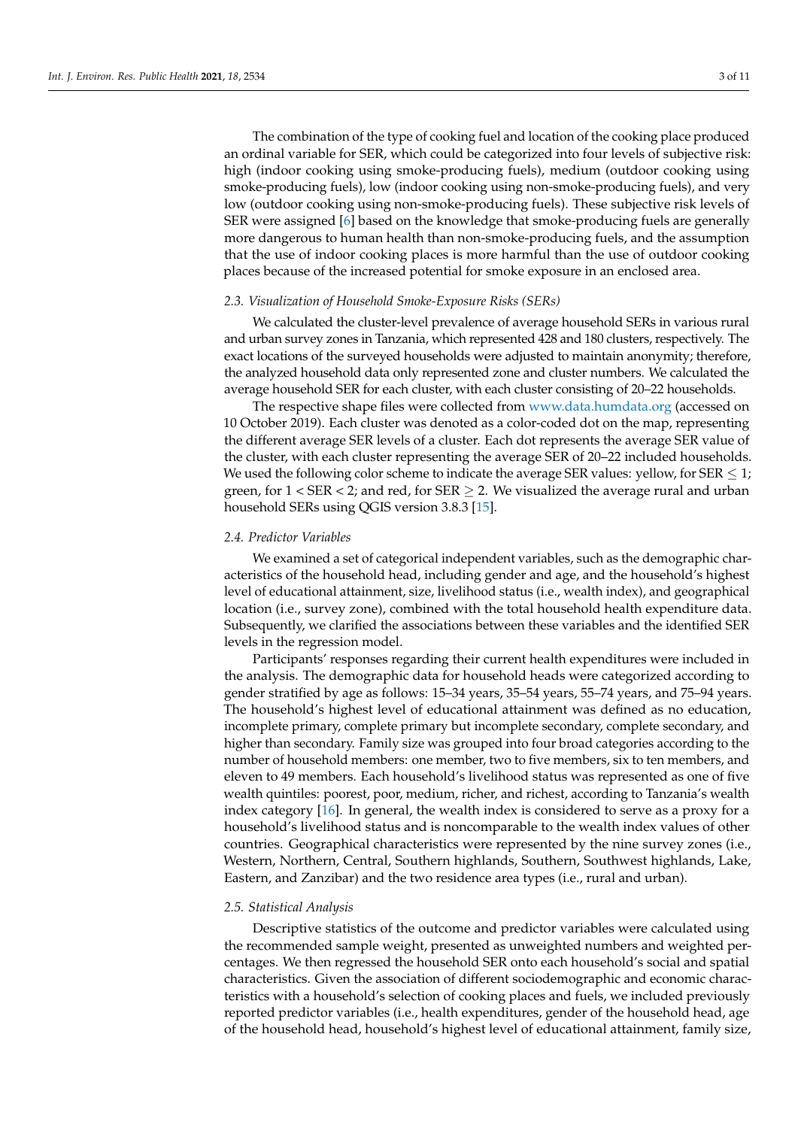The combination of the type of cooking fuel and location of the cooking place produced an ordinal variable for SER, which could be categorized into four levels of subjective risk: high (indoor cooking using smoke-producing fuels), medium (outdoor cooking using smoke-producing fuels), low (indoor cooking using non-smoke-producing fuels), and very low (outdoor cooking using non-smoke-producing fuels). These subjective risk levels of SER were assigned [\[6\]](#page-9-5) based on the knowledge that smoke-producing fuels are generally more dangerous to human health than non-smoke-producing fuels, and the assumption that the use of indoor cooking places is more harmful than the use of outdoor cooking places because of the increased potential for smoke exposure in an enclosed area.

#### <span id="page-2-0"></span>*2.3. Visualization of Household Smoke-Exposure Risks (SERs)*

We calculated the cluster-level prevalence of average household SERs in various rural and urban survey zones in Tanzania, which represented 428 and 180 clusters, respectively. The exact locations of the surveyed households were adjusted to maintain anonymity; therefore, the analyzed household data only represented zone and cluster numbers. We calculated the average household SER for each cluster, with each cluster consisting of 20–22 households.

The respective shape files were collected from <www.data.humdata.org> (accessed on 10 October 2019). Each cluster was denoted as a color-coded dot on the map, representing the different average SER levels of a cluster. Each dot represents the average SER value of the cluster, with each cluster representing the average SER of 20–22 included households. We used the following color scheme to indicate the average SER values: yellow, for SER  $\leq$  1; green, for  $1 <$  SER  $<$  2; and red, for SER  $\geq$  2. We visualized the average rural and urban household SERs using QGIS version 3.8.3 [\[15\]](#page-10-2).

#### *2.4. Predictor Variables*

We examined a set of categorical independent variables, such as the demographic characteristics of the household head, including gender and age, and the household's highest level of educational attainment, size, livelihood status (i.e., wealth index), and geographical location (i.e., survey zone), combined with the total household health expenditure data. Subsequently, we clarified the associations between these variables and the identified SER levels in the regression model.

Participants' responses regarding their current health expenditures were included in the analysis. The demographic data for household heads were categorized according to gender stratified by age as follows: 15–34 years, 35–54 years, 55–74 years, and 75–94 years. The household's highest level of educational attainment was defined as no education, incomplete primary, complete primary but incomplete secondary, complete secondary, and higher than secondary. Family size was grouped into four broad categories according to the number of household members: one member, two to five members, six to ten members, and eleven to 49 members. Each household's livelihood status was represented as one of five wealth quintiles: poorest, poor, medium, richer, and richest, according to Tanzania's wealth index category [\[16\]](#page-10-3). In general, the wealth index is considered to serve as a proxy for a household's livelihood status and is noncomparable to the wealth index values of other countries. Geographical characteristics were represented by the nine survey zones (i.e., Western, Northern, Central, Southern highlands, Southern, Southwest highlands, Lake, Eastern, and Zanzibar) and the two residence area types (i.e., rural and urban).

#### *2.5. Statistical Analysis*

Descriptive statistics of the outcome and predictor variables were calculated using the recommended sample weight, presented as unweighted numbers and weighted percentages. We then regressed the household SER onto each household's social and spatial characteristics. Given the association of different sociodemographic and economic characteristics with a household's selection of cooking places and fuels, we included previously reported predictor variables (i.e., health expenditures, gender of the household head, age of the household head, household's highest level of educational attainment, family size,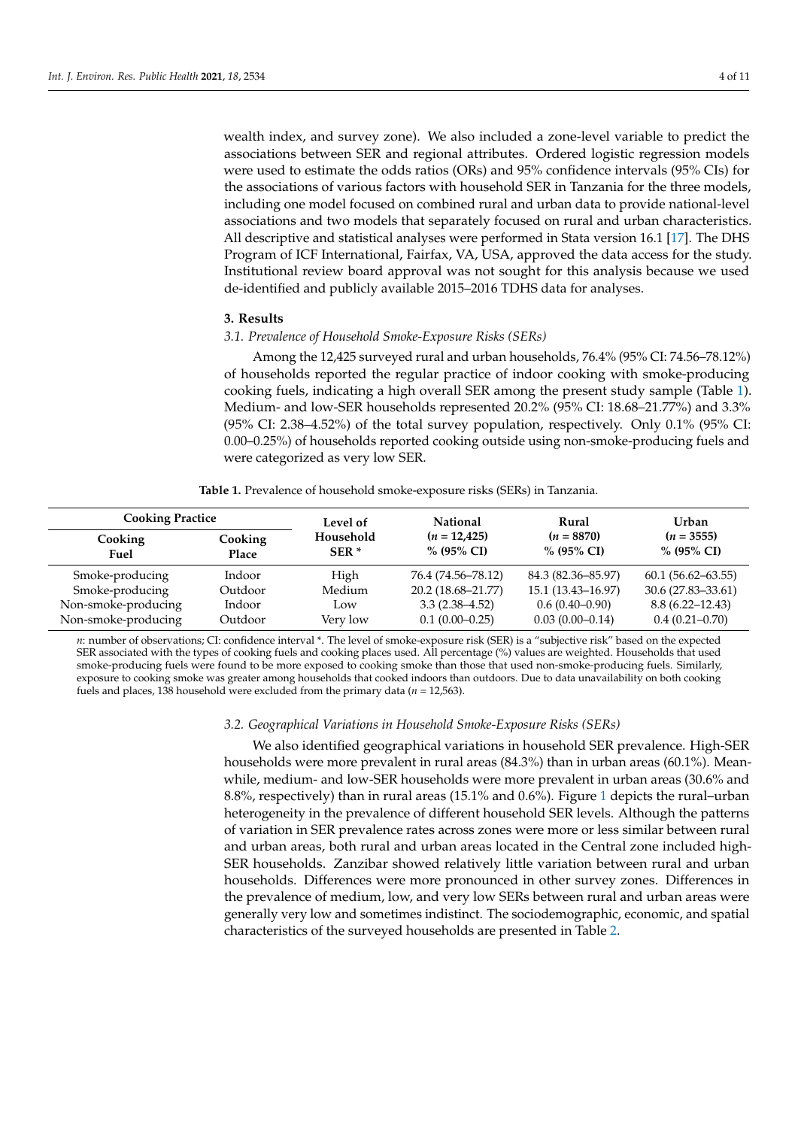wealth index, and survey zone). We also included a zone-level variable to predict the associations between SER and regional attributes. Ordered logistic regression models were used to estimate the odds ratios (ORs) and 95% confidence intervals (95% CIs) for the associations of various factors with household SER in Tanzania for the three models, including one model focused on combined rural and urban data to provide national-level associations and two models that separately focused on rural and urban characteristics. All descriptive and statistical analyses were performed in Stata version 16.1 [\[17\]](#page-10-4). The DHS Program of ICF International, Fairfax, VA, USA, approved the data access for the study. Institutional review board approval was not sought for this analysis because we used de-identified and publicly available 2015–2016 TDHS data for analyses.

#### **3. Results**

#### *3.1. Prevalence of Household Smoke-Exposure Risks (SERs)*

Among the 12,425 surveyed rural and urban households, 76.4% (95% CI: 74.56–78.12%) of households reported the regular practice of indoor cooking with smoke-producing cooking fuels, indicating a high overall SER among the present study sample (Table [1\)](#page-3-0). Medium- and low-SER households represented 20.2% (95% CI: 18.68–21.77%) and 3.3% (95% CI: 2.38–4.52%) of the total survey population, respectively. Only 0.1% (95% CI: 0.00–0.25%) of households reported cooking outside using non-smoke-producing fuels and were categorized as very low SER.

**Table 1.** Prevalence of household smoke-exposure risks (SERs) in Tanzania.

<span id="page-3-0"></span>

| <b>Cooking Practice</b> |                         | Level of            | <b>National</b>              | Rural                      | <b>Urban</b>               |  |
|-------------------------|-------------------------|---------------------|------------------------------|----------------------------|----------------------------|--|
| Cooking<br>Fuel         | Cooking<br><b>Place</b> | Household<br>$SER*$ | $(n = 12,425)$<br>% (95% CI) | $(n = 8870)$<br>% (95% CI) | $(n = 3555)$<br>% (95% CI) |  |
| Smoke-producing         | Indoor                  | High                | 76.4 (74.56–78.12)           | 84.3 (82.36–85.97)         | $60.1(56.62 - 63.55)$      |  |
| Smoke-producing         | Outdoor                 | Medium              | 20.2 (18.68–21.77)           | 15.1 (13.43-16.97)         | 30.6 (27.83-33.61)         |  |
| Non-smoke-producing     | Indoor                  | Low                 | $3.3(2.38 - 4.52)$           | $0.6(0.40-0.90)$           | $8.8(6.22 - 12.43)$        |  |
| Non-smoke-producing     | Outdoor                 | Very low            | $0.1(0.00-0.25)$             | $0.03(0.00-0.14)$          | $0.4(0.21 - 0.70)$         |  |

*n*: number of observations; CI: confidence interval \*. The level of smoke-exposure risk (SER) is a "subjective risk" based on the expected SER associated with the types of cooking fuels and cooking places used. All percentage (%) values are weighted. Households that used smoke-producing fuels were found to be more exposed to cooking smoke than those that used non-smoke-producing fuels. Similarly, exposure to cooking smoke was greater among households that cooked indoors than outdoors. Due to data unavailability on both cooking fuels and places, 138 household were excluded from the primary data  $(n = 12,563)$ .

# *3.2. Geographical Variations in Household Smoke-Exposure Risks (SERs)*

We also identified geographical variations in household SER prevalence. High-SER households were more prevalent in rural areas (84.3%) than in urban areas (60.1%). Meanwhile, medium- and low-SER households were more prevalent in urban areas (30.6% and 8.8%, respectively) than in rural areas (15.1% and 0.6%). Figure [1](#page-4-0) depicts the rural–urban heterogeneity in the prevalence of different household SER levels. Although the patterns of variation in SER prevalence rates across zones were more or less similar between rural and urban areas, both rural and urban areas located in the Central zone included high-SER households. Zanzibar showed relatively little variation between rural and urban households. Differences were more pronounced in other survey zones. Differences in the prevalence of medium, low, and very low SERs between rural and urban areas were generally very low and sometimes indistinct. The sociodemographic, economic, and spatial characteristics of the surveyed households are presented in Table [2.](#page-5-0)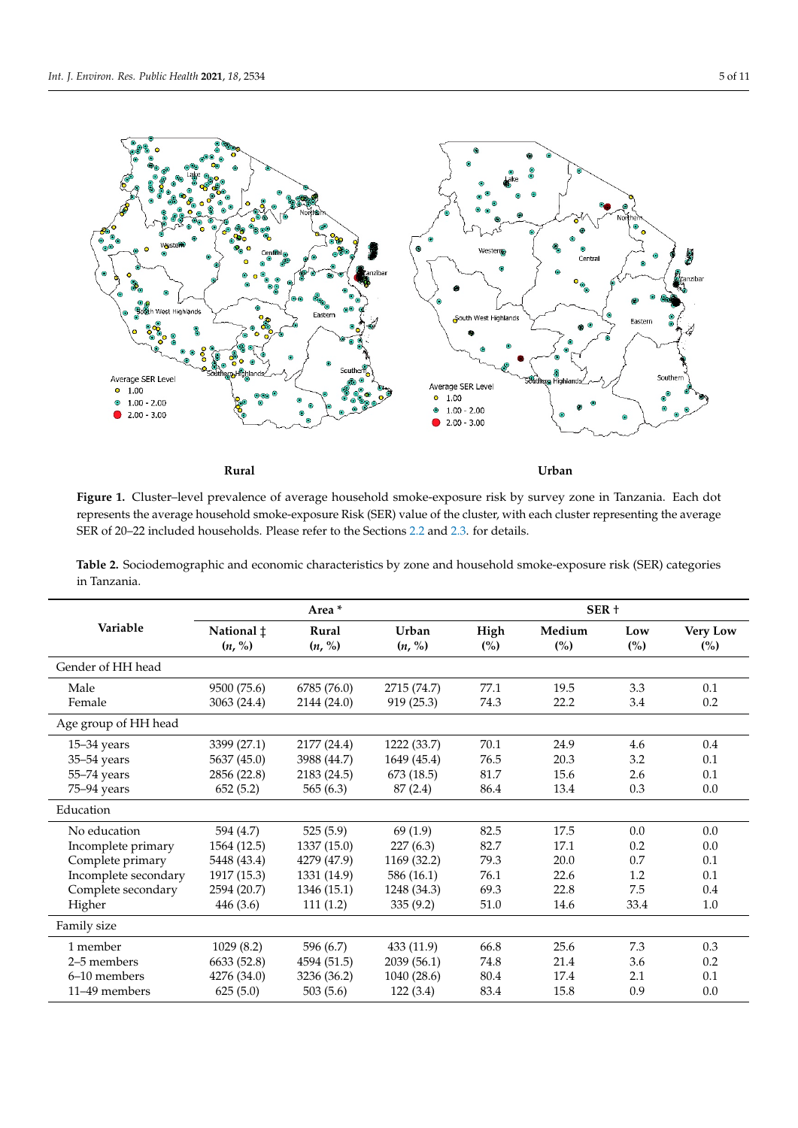<span id="page-4-0"></span>

**Rural Urban**

Figure 1. Cluster-level prevalence of average household smoke-exposure risk by survey zone in Tanzania. Each dot resents the average household smoke-exposure Risk (SER) value of the cluster, with each cluster representing the average SER of 20–22 included households. Please refer to the Sections 2.2. and 2.3. for details. represents the average household smoke-exposure Risk (SER) value of the cluster, with each cluster representing the average SER of 20–22 included households. Please refer to the Sections [2.2](#page-1-0) and [2.3.](#page-2-0) for details.

**Table 2.** Sociodemographic and economic characteristics by zone and household smoke-exposure risk (SER) categories in Tanzania.

|                      | Area *               |                 |                 | SER +       |               |                       |                                  |
|----------------------|----------------------|-----------------|-----------------|-------------|---------------|-----------------------|----------------------------------|
| Variable             | National ‡<br>(n, %) | Rural<br>(n, %) | Urban<br>(n, %) | High<br>(%) | Medium<br>(%) | Low<br>$\binom{0}{0}$ | <b>Very Low</b><br>$\frac{6}{2}$ |
| Gender of HH head    |                      |                 |                 |             |               |                       |                                  |
| Male                 | 9500 (75.6)          | 6785 (76.0)     | 2715 (74.7)     | 77.1        | 19.5          | 3.3                   | 0.1                              |
| Female               | 3063 (24.4)          | 2144 (24.0)     | 919(25.3)       | 74.3        | 22.2          | 3.4                   | 0.2                              |
| Age group of HH head |                      |                 |                 |             |               |                       |                                  |
| $15 - 34$ years      | 3399 (27.1)          | 2177 (24.4)     | 1222 (33.7)     | 70.1        | 24.9          | 4.6                   | 0.4                              |
| 35-54 years          | 5637 (45.0)          | 3988 (44.7)     | 1649 (45.4)     | 76.5        | 20.3          | 3.2                   | 0.1                              |
| $55 - 74$ years      | 2856 (22.8)          | 2183 (24.5)     | 673 (18.5)      | 81.7        | 15.6          | 2.6                   | 0.1                              |
| 75-94 years          | 652(5.2)             | 565(6.3)        | 87(2.4)         | 86.4        | 13.4          | 0.3                   | 0.0                              |
| Education            |                      |                 |                 |             |               |                       |                                  |
| No education         | 594 (4.7)            | 525(5.9)        | 69(1.9)         | 82.5        | 17.5          | 0.0                   | 0.0                              |
| Incomplete primary   | 1564 (12.5)          | 1337(15.0)      | 227(6.3)        | 82.7        | 17.1          | 0.2                   | 0.0                              |
| Complete primary     | 5448 (43.4)          | 4279 (47.9)     | 1169 (32.2)     | 79.3        | 20.0          | 0.7                   | 0.1                              |
| Incomplete secondary | 1917 (15.3)          | 1331 (14.9)     | 586 (16.1)      | 76.1        | 22.6          | 1.2                   | 0.1                              |
| Complete secondary   | 2594 (20.7)          | 1346 (15.1)     | 1248 (34.3)     | 69.3        | 22.8          | 7.5                   | 0.4                              |
| Higher               | 446 (3.6)            | 111(1.2)        | 335(9.2)        | 51.0        | 14.6          | 33.4                  | 1.0                              |
| Family size          |                      |                 |                 |             |               |                       |                                  |
| 1 member             | 1029(8.2)            | 596 (6.7)       | 433 (11.9)      | 66.8        | 25.6          | 7.3                   | 0.3                              |
| 2–5 members          | 6633 (52.8)          | 4594 (51.5)     | 2039 (56.1)     | 74.8        | 21.4          | 3.6                   | 0.2                              |
| 6-10 members         | 4276 (34.0)          | 3236 (36.2)     | 1040 (28.6)     | 80.4        | 17.4          | 2.1                   | 0.1                              |
| 11–49 members        | 625(5.0)             | 503 (5.6)       | 122(3.4)        | 83.4        | 15.8          | 0.9                   | 0.0                              |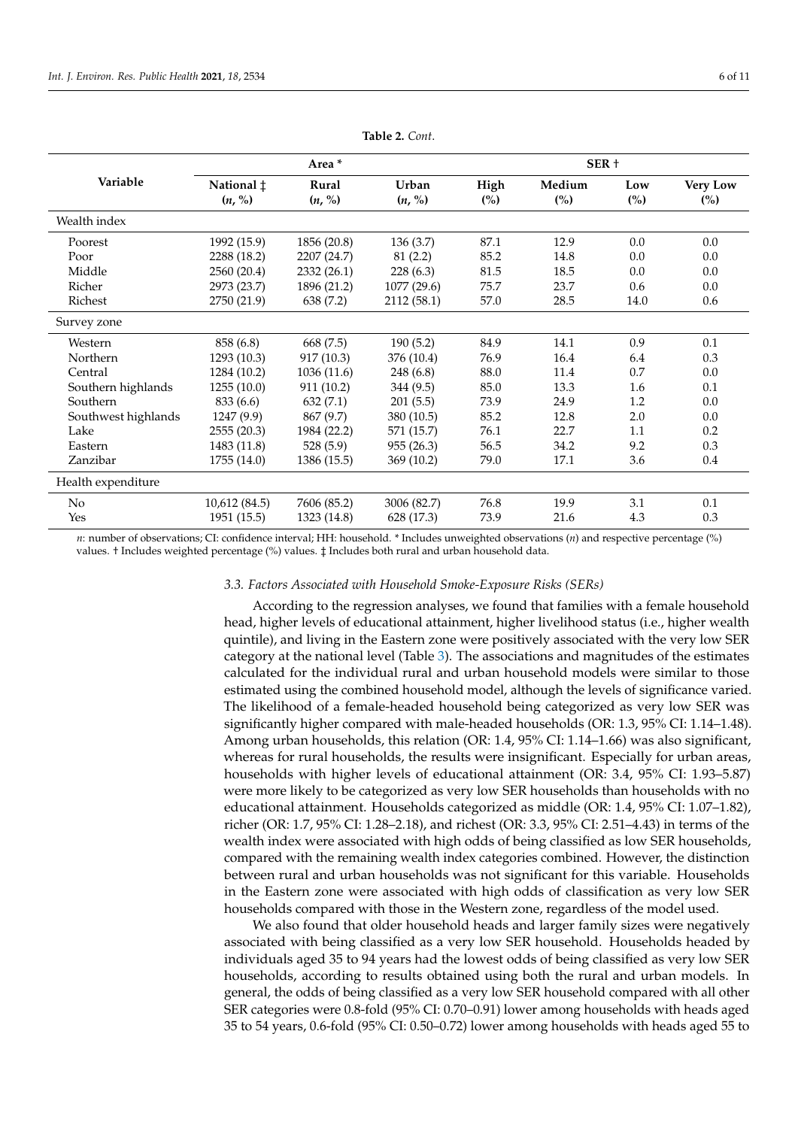<span id="page-5-0"></span>

|                     | Area *                        |                 |                 | SER +                  |                          |                       |                        |
|---------------------|-------------------------------|-----------------|-----------------|------------------------|--------------------------|-----------------------|------------------------|
| Variable            | National $\ddagger$<br>(n, %) | Rural<br>(n, %) | Urban<br>(n, %) | High<br>$\binom{0}{0}$ | Medium<br>$\binom{0}{0}$ | Low<br>$\binom{0}{0}$ | <b>Very Low</b><br>(%) |
| Wealth index        |                               |                 |                 |                        |                          |                       |                        |
| Poorest             | 1992 (15.9)                   | 1856 (20.8)     | 136(3.7)        | 87.1                   | 12.9                     | 0.0                   | 0.0                    |
| Poor                | 2288 (18.2)                   | 2207 (24.7)     | 81(2.2)         | 85.2                   | 14.8                     | 0.0                   | 0.0                    |
| Middle              | 2560 (20.4)                   | 2332 (26.1)     | 228 (6.3)       | 81.5                   | 18.5                     | 0.0                   | 0.0                    |
| Richer              | 2973 (23.7)                   | 1896 (21.2)     | 1077 (29.6)     | 75.7                   | 23.7                     | 0.6                   | 0.0                    |
| Richest             | 2750 (21.9)                   | 638 (7.2)       | 2112 (58.1)     | 57.0                   | 28.5                     | 14.0                  | 0.6                    |
| Survey zone         |                               |                 |                 |                        |                          |                       |                        |
| Western             | 858 (6.8)                     | 668 (7.5)       | 190(5.2)        | 84.9                   | 14.1                     | 0.9                   | 0.1                    |
| Northern            | 1293 (10.3)                   | 917 (10.3)      | 376 (10.4)      | 76.9                   | 16.4                     | 6.4                   | 0.3                    |
| Central             | 1284 (10.2)                   | 1036 (11.6)     | 248 (6.8)       | 88.0                   | 11.4                     | 0.7                   | 0.0                    |
| Southern highlands  | 1255(10.0)                    | 911 (10.2)      | 344 (9.5)       | 85.0                   | 13.3                     | 1.6                   | 0.1                    |
| Southern            | 833 (6.6)                     | 632(7.1)        | 201(5.5)        | 73.9                   | 24.9                     | 1.2                   | 0.0                    |
| Southwest highlands | 1247 (9.9)                    | 867 (9.7)       | 380 (10.5)      | 85.2                   | 12.8                     | 2.0                   | 0.0                    |
| Lake                | 2555(20.3)                    | 1984 (22.2)     | 571 (15.7)      | 76.1                   | 22.7                     | 1.1                   | 0.2                    |
| Eastern             | 1483 (11.8)                   | 528 (5.9)       | 955(26.3)       | 56.5                   | 34.2                     | 9.2                   | 0.3                    |
| Zanzibar            | 1755 (14.0)                   | 1386 (15.5)     | 369 (10.2)      | 79.0                   | 17.1                     | 3.6                   | 0.4                    |
| Health expenditure  |                               |                 |                 |                        |                          |                       |                        |
| No                  | 10,612 (84.5)                 | 7606 (85.2)     | 3006 (82.7)     | 76.8                   | 19.9                     | 3.1                   | 0.1                    |
| Yes                 | 1951 (15.5)                   | 1323 (14.8)     | 628 (17.3)      | 73.9                   | 21.6                     | 4.3                   | 0.3                    |

**Table 2.** *Cont*.

*n*: number of observations; CI: confidence interval; HH: household. \* Includes unweighted observations (*n*) and respective percentage (%) values. † Includes weighted percentage (%) values. ‡ Includes both rural and urban household data.

#### *3.3. Factors Associated with Household Smoke-Exposure Risks (SERs)*

According to the regression analyses, we found that families with a female household head, higher levels of educational attainment, higher livelihood status (i.e., higher wealth quintile), and living in the Eastern zone were positively associated with the very low SER category at the national level (Table [3\)](#page-6-0). The associations and magnitudes of the estimates calculated for the individual rural and urban household models were similar to those estimated using the combined household model, although the levels of significance varied. The likelihood of a female-headed household being categorized as very low SER was significantly higher compared with male-headed households (OR: 1.3, 95% CI: 1.14–1.48). Among urban households, this relation (OR: 1.4, 95% CI: 1.14–1.66) was also significant, whereas for rural households, the results were insignificant. Especially for urban areas, households with higher levels of educational attainment (OR: 3.4, 95% CI: 1.93–5.87) were more likely to be categorized as very low SER households than households with no educational attainment. Households categorized as middle (OR: 1.4, 95% CI: 1.07–1.82), richer (OR: 1.7, 95% CI: 1.28–2.18), and richest (OR: 3.3, 95% CI: 2.51–4.43) in terms of the wealth index were associated with high odds of being classified as low SER households, compared with the remaining wealth index categories combined. However, the distinction between rural and urban households was not significant for this variable. Households in the Eastern zone were associated with high odds of classification as very low SER households compared with those in the Western zone, regardless of the model used.

We also found that older household heads and larger family sizes were negatively associated with being classified as a very low SER household. Households headed by individuals aged 35 to 94 years had the lowest odds of being classified as very low SER households, according to results obtained using both the rural and urban models. In general, the odds of being classified as a very low SER household compared with all other SER categories were 0.8-fold (95% CI: 0.70–0.91) lower among households with heads aged 35 to 54 years, 0.6-fold (95% CI: 0.50–0.72) lower among households with heads aged 55 to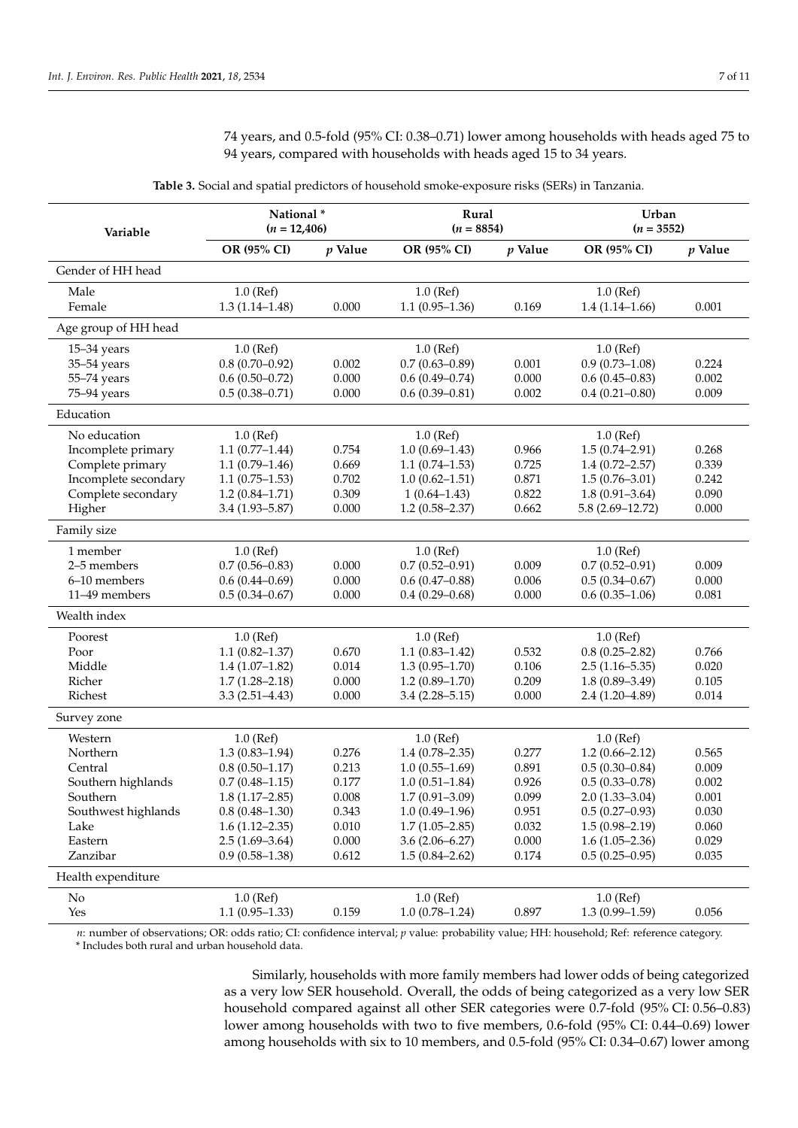74 years, and 0.5-fold (95% CI: 0.38–0.71) lower among households with heads aged 75 to 94 years, compared with households with heads aged 15 to 34 years.

<span id="page-6-0"></span>

| Variable             | National*<br>$(n = 12,406)$ |           | Rural<br>$(n = 8854)$ |           | Urban<br>$(n = 3552)$ |           |
|----------------------|-----------------------------|-----------|-----------------------|-----------|-----------------------|-----------|
|                      | OR (95% CI)                 | $p$ Value | OR (95% CI)           | $p$ Value | OR (95% CI)           | $p$ Value |
| Gender of HH head    |                             |           |                       |           |                       |           |
| Male                 | $1.0$ (Ref)                 |           | $1.0$ (Ref)           |           | $1.0$ (Ref)           |           |
| Female               | $1.3(1.14 - 1.48)$          | 0.000     | $1.1(0.95-1.36)$      | 0.169     | $1.4(1.14 - 1.66)$    | 0.001     |
| Age group of HH head |                             |           |                       |           |                       |           |
| $15 - 34$ years      | $1.0$ (Ref)                 |           | $1.0$ (Ref)           |           | $1.0$ (Ref)           |           |
| 35-54 years          | $0.8(0.70 - 0.92)$          | 0.002     | $0.7(0.63 - 0.89)$    | 0.001     | $0.9(0.73 - 1.08)$    | 0.224     |
| 55-74 years          | $0.6(0.50-0.72)$            | 0.000     | $0.6(0.49 - 0.74)$    | 0.000     | $0.6(0.45 - 0.83)$    | 0.002     |
| 75-94 years          | $0.5(0.38 - 0.71)$          | 0.000     | $0.6(0.39 - 0.81)$    | 0.002     | $0.4(0.21 - 0.80)$    | 0.009     |
| Education            |                             |           |                       |           |                       |           |
| No education         | $1.0$ (Ref)                 |           | $1.0$ (Ref)           |           | $1.0$ (Ref)           |           |
| Incomplete primary   | $1.1(0.77-1.44)$            | 0.754     | $1.0(0.69 - 1.43)$    | 0.966     | $1.5(0.74 - 2.91)$    | 0.268     |
| Complete primary     | $1.1(0.79-1.46)$            | 0.669     | $1.1(0.74 - 1.53)$    | 0.725     | $1.4(0.72 - 2.57)$    | 0.339     |
| Incomplete secondary | $1.1(0.75-1.53)$            | 0.702     | $1.0(0.62 - 1.51)$    | 0.871     | $1.5(0.76 - 3.01)$    | 0.242     |
| Complete secondary   | $1.2(0.84 - 1.71)$          | 0.309     | $1(0.64 - 1.43)$      | 0.822     | $1.8(0.91 - 3.64)$    | 0.090     |
| Higher               | $3.4(1.93 - 5.87)$          | 0.000     | $1.2(0.58 - 2.37)$    | 0.662     | $5.8(2.69 - 12.72)$   | 0.000     |
| Family size          |                             |           |                       |           |                       |           |
| 1 member             | $1.0$ (Ref)                 |           | $1.0$ (Ref)           |           | $1.0$ (Ref)           |           |
| 2-5 members          | $0.7(0.56 - 0.83)$          | 0.000     | $0.7(0.52 - 0.91)$    | 0.009     | $0.7(0.52 - 0.91)$    | 0.009     |
| 6-10 members         | $0.6(0.44 - 0.69)$          | 0.000     | $0.6(0.47-0.88)$      | 0.006     | $0.5(0.34 - 0.67)$    | 0.000     |
| 11-49 members        | $0.5(0.34 - 0.67)$          | 0.000     | $0.4(0.29 - 0.68)$    | 0.000     | $0.6(0.35-1.06)$      | 0.081     |
| Wealth index         |                             |           |                       |           |                       |           |
| Poorest              | $1.0$ (Ref)                 |           | $1.0$ (Ref)           |           | $1.0$ (Ref)           |           |
| Poor                 | $1.1(0.82 - 1.37)$          | 0.670     | $1.1(0.83 - 1.42)$    | 0.532     | $0.8(0.25 - 2.82)$    | 0.766     |
| Middle               | $1.4(1.07-1.82)$            | 0.014     | $1.3(0.95 - 1.70)$    | 0.106     | $2.5(1.16 - 5.35)$    | 0.020     |
| Richer               | $1.7(1.28 - 2.18)$          | 0.000     | $1.2(0.89 - 1.70)$    | 0.209     | $1.8(0.89 - 3.49)$    | 0.105     |
| Richest              | $3.3(2.51 - 4.43)$          | 0.000     | $3.4(2.28 - 5.15)$    | 0.000     | $2.4(1.20 - 4.89)$    | 0.014     |
| Survey zone          |                             |           |                       |           |                       |           |
| Western              | $1.0$ (Ref)                 |           | $1.0$ (Ref)           |           | $1.0$ (Ref)           |           |
| Northern             | $1.3(0.83 - 1.94)$          | 0.276     | $1.4(0.78 - 2.35)$    | 0.277     | $1.2(0.66 - 2.12)$    | 0.565     |
| Central              | $0.8(0.50-1.17)$            | 0.213     | $1.0(0.55-1.69)$      | 0.891     | $0.5(0.30 - 0.84)$    | 0.009     |
| Southern highlands   | $0.7(0.48 - 1.15)$          | 0.177     | $1.0(0.51 - 1.84)$    | 0.926     | $0.5(0.33 - 0.78)$    | 0.002     |
| Southern             | $1.8(1.17-2.85)$            | 0.008     | $1.7(0.91 - 3.09)$    | 0.099     | $2.0(1.33 - 3.04)$    | 0.001     |
| Southwest highlands  | $0.8(0.48 - 1.30)$          | 0.343     | $1.0(0.49 - 1.96)$    | 0.951     | $0.5(0.27-0.93)$      | 0.030     |
| Lake                 | $1.6(1.12 - 2.35)$          | 0.010     | $1.7(1.05-2.85)$      | 0.032     | $1.5(0.98 - 2.19)$    | 0.060     |
| Eastern              | $2.5(1.69-3.64)$            | 0.000     | $3.6(2.06 - 6.27)$    | 0.000     | $1.6(1.05-2.36)$      | 0.029     |
| Zanzibar             | $0.9(0.58 - 1.38)$          | 0.612     | $1.5(0.84 - 2.62)$    | 0.174     | $0.5(0.25-0.95)$      | 0.035     |
| Health expenditure   |                             |           |                       |           |                       |           |
| No.                  | $1.0$ (Ref)                 |           | $1.0$ (Ref)           |           | $1.0$ (Ref)           |           |
| Yes                  | $1.1(0.95-1.33)$            | 0.159     | $1.0(0.78 - 1.24)$    | 0.897     | $1.3(0.99 - 1.59)$    | 0.056     |

**Table 3.** Social and spatial predictors of household smoke-exposure risks (SERs) in Tanzania.

*n*: number of observations; OR: odds ratio; CI: confidence interval; *p* value: probability value; HH: household; Ref: reference category. \* Includes both rural and urban household data.

> Similarly, households with more family members had lower odds of being categorized as a very low SER household. Overall, the odds of being categorized as a very low SER household compared against all other SER categories were 0.7-fold (95% CI: 0.56–0.83) lower among households with two to five members, 0.6-fold (95% CI: 0.44–0.69) lower among households with six to 10 members, and 0.5-fold (95% CI: 0.34–0.67) lower among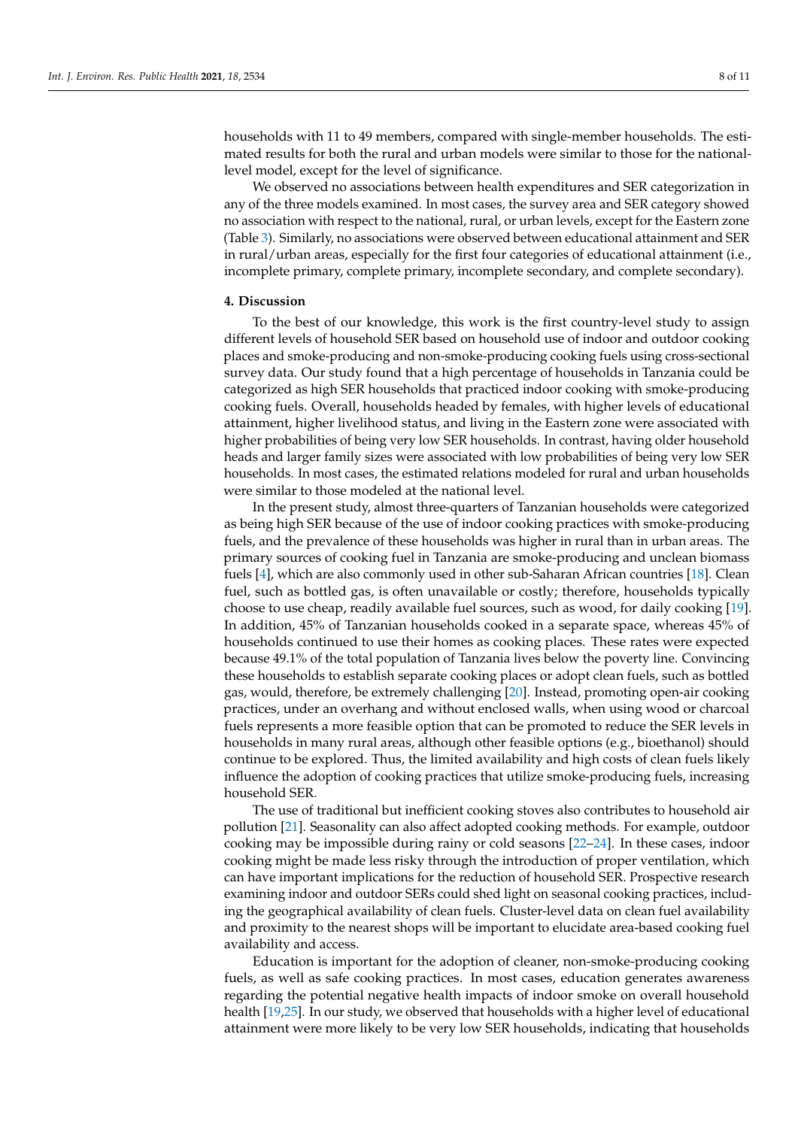households with 11 to 49 members, compared with single-member households. The estimated results for both the rural and urban models were similar to those for the nationallevel model, except for the level of significance.

We observed no associations between health expenditures and SER categorization in any of the three models examined. In most cases, the survey area and SER category showed no association with respect to the national, rural, or urban levels, except for the Eastern zone (Table [3\)](#page-6-0). Similarly, no associations were observed between educational attainment and SER in rural/urban areas, especially for the first four categories of educational attainment (i.e., incomplete primary, complete primary, incomplete secondary, and complete secondary).

# **4. Discussion**

To the best of our knowledge, this work is the first country-level study to assign different levels of household SER based on household use of indoor and outdoor cooking places and smoke-producing and non-smoke-producing cooking fuels using cross-sectional survey data. Our study found that a high percentage of households in Tanzania could be categorized as high SER households that practiced indoor cooking with smoke-producing cooking fuels. Overall, households headed by females, with higher levels of educational attainment, higher livelihood status, and living in the Eastern zone were associated with higher probabilities of being very low SER households. In contrast, having older household heads and larger family sizes were associated with low probabilities of being very low SER households. In most cases, the estimated relations modeled for rural and urban households were similar to those modeled at the national level.

In the present study, almost three-quarters of Tanzanian households were categorized as being high SER because of the use of indoor cooking practices with smoke-producing fuels, and the prevalence of these households was higher in rural than in urban areas. The primary sources of cooking fuel in Tanzania are smoke-producing and unclean biomass fuels [\[4\]](#page-9-3), which are also commonly used in other sub-Saharan African countries [\[18\]](#page-10-5). Clean fuel, such as bottled gas, is often unavailable or costly; therefore, households typically choose to use cheap, readily available fuel sources, such as wood, for daily cooking [\[19\]](#page-10-6). In addition, 45% of Tanzanian households cooked in a separate space, whereas 45% of households continued to use their homes as cooking places. These rates were expected because 49.1% of the total population of Tanzania lives below the poverty line. Convincing these households to establish separate cooking places or adopt clean fuels, such as bottled gas, would, therefore, be extremely challenging [\[20\]](#page-10-7). Instead, promoting open-air cooking practices, under an overhang and without enclosed walls, when using wood or charcoal fuels represents a more feasible option that can be promoted to reduce the SER levels in households in many rural areas, although other feasible options (e.g., bioethanol) should continue to be explored. Thus, the limited availability and high costs of clean fuels likely influence the adoption of cooking practices that utilize smoke-producing fuels, increasing household SER.

The use of traditional but inefficient cooking stoves also contributes to household air pollution [\[21\]](#page-10-8). Seasonality can also affect adopted cooking methods. For example, outdoor cooking may be impossible during rainy or cold seasons [\[22–](#page-10-9)[24\]](#page-10-10). In these cases, indoor cooking might be made less risky through the introduction of proper ventilation, which can have important implications for the reduction of household SER. Prospective research examining indoor and outdoor SERs could shed light on seasonal cooking practices, including the geographical availability of clean fuels. Cluster-level data on clean fuel availability and proximity to the nearest shops will be important to elucidate area-based cooking fuel availability and access.

Education is important for the adoption of cleaner, non-smoke-producing cooking fuels, as well as safe cooking practices. In most cases, education generates awareness regarding the potential negative health impacts of indoor smoke on overall household health [\[19,](#page-10-6)[25\]](#page-10-11). In our study, we observed that households with a higher level of educational attainment were more likely to be very low SER households, indicating that households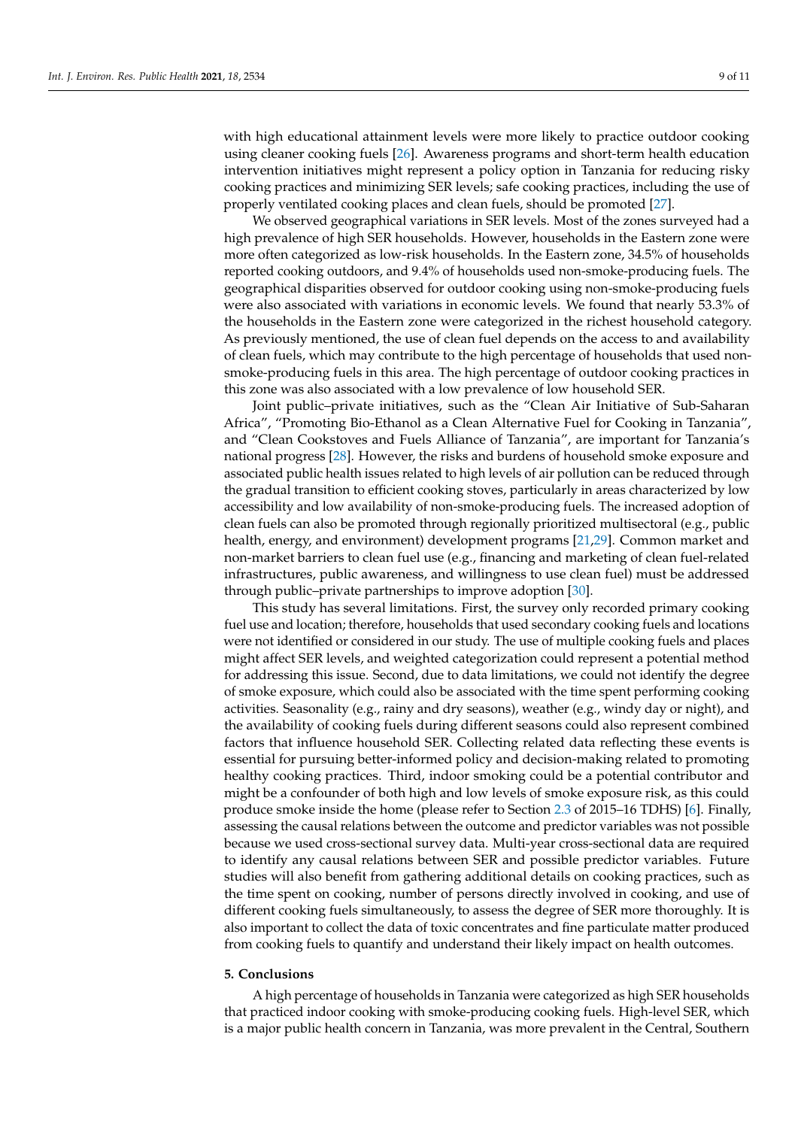with high educational attainment levels were more likely to practice outdoor cooking using cleaner cooking fuels [\[26\]](#page-10-12). Awareness programs and short-term health education intervention initiatives might represent a policy option in Tanzania for reducing risky cooking practices and minimizing SER levels; safe cooking practices, including the use of properly ventilated cooking places and clean fuels, should be promoted [\[27\]](#page-10-13).

We observed geographical variations in SER levels. Most of the zones surveyed had a high prevalence of high SER households. However, households in the Eastern zone were more often categorized as low-risk households. In the Eastern zone, 34.5% of households reported cooking outdoors, and 9.4% of households used non-smoke-producing fuels. The geographical disparities observed for outdoor cooking using non-smoke-producing fuels were also associated with variations in economic levels. We found that nearly 53.3% of the households in the Eastern zone were categorized in the richest household category. As previously mentioned, the use of clean fuel depends on the access to and availability of clean fuels, which may contribute to the high percentage of households that used nonsmoke-producing fuels in this area. The high percentage of outdoor cooking practices in this zone was also associated with a low prevalence of low household SER.

Joint public–private initiatives, such as the "Clean Air Initiative of Sub-Saharan Africa", "Promoting Bio-Ethanol as a Clean Alternative Fuel for Cooking in Tanzania", and "Clean Cookstoves and Fuels Alliance of Tanzania", are important for Tanzania's national progress [\[28\]](#page-10-14). However, the risks and burdens of household smoke exposure and associated public health issues related to high levels of air pollution can be reduced through the gradual transition to efficient cooking stoves, particularly in areas characterized by low accessibility and low availability of non-smoke-producing fuels. The increased adoption of clean fuels can also be promoted through regionally prioritized multisectoral (e.g., public health, energy, and environment) development programs [\[21,](#page-10-8)[29\]](#page-10-15). Common market and non-market barriers to clean fuel use (e.g., financing and marketing of clean fuel-related infrastructures, public awareness, and willingness to use clean fuel) must be addressed through public–private partnerships to improve adoption [\[30\]](#page-10-16).

This study has several limitations. First, the survey only recorded primary cooking fuel use and location; therefore, households that used secondary cooking fuels and locations were not identified or considered in our study. The use of multiple cooking fuels and places might affect SER levels, and weighted categorization could represent a potential method for addressing this issue. Second, due to data limitations, we could not identify the degree of smoke exposure, which could also be associated with the time spent performing cooking activities. Seasonality (e.g., rainy and dry seasons), weather (e.g., windy day or night), and the availability of cooking fuels during different seasons could also represent combined factors that influence household SER. Collecting related data reflecting these events is essential for pursuing better-informed policy and decision-making related to promoting healthy cooking practices. Third, indoor smoking could be a potential contributor and might be a confounder of both high and low levels of smoke exposure risk, as this could produce smoke inside the home (please refer to Section [2.3](#page-2-0) of 2015–16 TDHS) [\[6\]](#page-9-5). Finally, assessing the causal relations between the outcome and predictor variables was not possible because we used cross-sectional survey data. Multi-year cross-sectional data are required to identify any causal relations between SER and possible predictor variables. Future studies will also benefit from gathering additional details on cooking practices, such as the time spent on cooking, number of persons directly involved in cooking, and use of different cooking fuels simultaneously, to assess the degree of SER more thoroughly. It is also important to collect the data of toxic concentrates and fine particulate matter produced from cooking fuels to quantify and understand their likely impact on health outcomes.

## **5. Conclusions**

A high percentage of households in Tanzania were categorized as high SER households that practiced indoor cooking with smoke-producing cooking fuels. High-level SER, which is a major public health concern in Tanzania, was more prevalent in the Central, Southern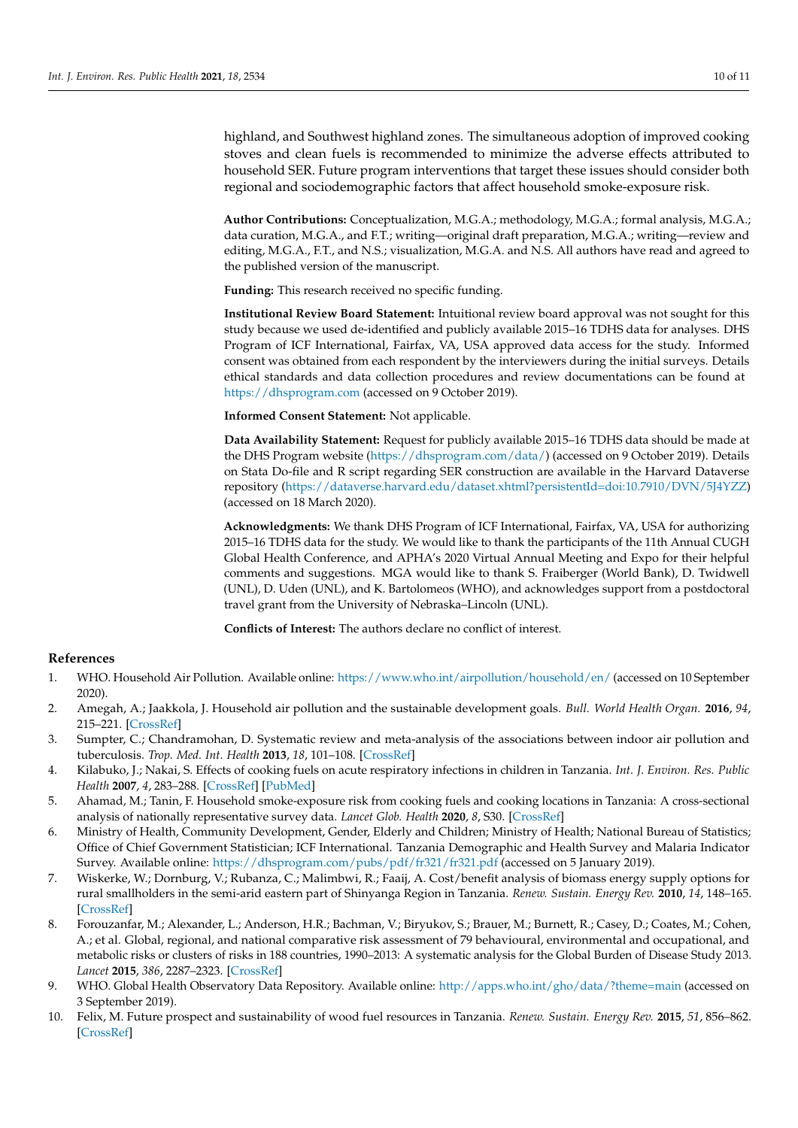highland, and Southwest highland zones. The simultaneous adoption of improved cooking stoves and clean fuels is recommended to minimize the adverse effects attributed to household SER. Future program interventions that target these issues should consider both regional and sociodemographic factors that affect household smoke-exposure risk.

**Author Contributions:** Conceptualization, M.G.A.; methodology, M.G.A.; formal analysis, M.G.A.; data curation, M.G.A., and F.T.; writing—original draft preparation, M.G.A.; writing—review and editing, M.G.A., F.T., and N.S.; visualization, M.G.A. and N.S. All authors have read and agreed to the published version of the manuscript.

**Funding:** This research received no specific funding.

**Institutional Review Board Statement:** Intuitional review board approval was not sought for this study because we used de-identified and publicly available 2015–16 TDHS data for analyses. DHS Program of ICF International, Fairfax, VA, USA approved data access for the study. Informed consent was obtained from each respondent by the interviewers during the initial surveys. Details ethical standards and data collection procedures and review documentations can be found at <https://dhsprogram.com> (accessed on 9 October 2019).

**Informed Consent Statement:** Not applicable.

**Data Availability Statement:** Request for publicly available 2015–16 TDHS data should be made at the DHS Program website [\(https://dhsprogram.com/data/\)](https://dhsprogram.com/data/) (accessed on 9 October 2019). Details on Stata Do-file and R script regarding SER construction are available in the Harvard Dataverse repository [\(https://dataverse.harvard.edu/dataset.xhtml?persistentId=doi:10.7910/DVN/5J4YZZ\)](https://dataverse.harvard.edu/dataset.xhtml?persistentId=doi:10.7910/DVN/5J4YZZ) (accessed on 18 March 2020).

**Acknowledgments:** We thank DHS Program of ICF International, Fairfax, VA, USA for authorizing 2015–16 TDHS data for the study. We would like to thank the participants of the 11th Annual CUGH Global Health Conference, and APHA's 2020 Virtual Annual Meeting and Expo for their helpful comments and suggestions. MGA would like to thank S. Fraiberger (World Bank), D. Twidwell (UNL), D. Uden (UNL), and K. Bartolomeos (WHO), and acknowledges support from a postdoctoral travel grant from the University of Nebraska–Lincoln (UNL).

**Conflicts of Interest:** The authors declare no conflict of interest.

# **References**

- <span id="page-9-0"></span>1. WHO. Household Air Pollution. Available online: <https://www.who.int/airpollution/household/en/> (accessed on 10 September 2020).
- <span id="page-9-1"></span>2. Amegah, A.; Jaakkola, J. Household air pollution and the sustainable development goals. *Bull. World Health Organ.* **2016**, *94*, 215–221. [\[CrossRef\]](http://doi.org/10.2471/BLT.15.155812)
- <span id="page-9-2"></span>3. Sumpter, C.; Chandramohan, D. Systematic review and meta-analysis of the associations between indoor air pollution and tuberculosis. *Trop. Med. Int. Health* **2013**, *18*, 101–108. [\[CrossRef\]](http://doi.org/10.1111/tmi.12013)
- <span id="page-9-3"></span>4. Kilabuko, J.; Nakai, S. Effects of cooking fuels on acute respiratory infections in children in Tanzania. *Int. J. Environ. Res. Public Health* **2007**, *4*, 283–288. [\[CrossRef\]](http://doi.org/10.3390/ijerph200704040003) [\[PubMed\]](http://www.ncbi.nlm.nih.gov/pubmed/18180538)
- <span id="page-9-4"></span>5. Ahamad, M.; Tanin, F. Household smoke-exposure risk from cooking fuels and cooking locations in Tanzania: A cross-sectional analysis of nationally representative survey data. *Lancet Glob. Health* **2020**, *8*, S30. [\[CrossRef\]](http://doi.org/10.1016/S2214-109X(20)30171-6)
- <span id="page-9-5"></span>6. Ministry of Health, Community Development, Gender, Elderly and Children; Ministry of Health; National Bureau of Statistics; Office of Chief Government Statistician; ICF International. Tanzania Demographic and Health Survey and Malaria Indicator Survey. Available online: <https://dhsprogram.com/pubs/pdf/fr321/fr321.pdf> (accessed on 5 January 2019).
- <span id="page-9-6"></span>7. Wiskerke, W.; Dornburg, V.; Rubanza, C.; Malimbwi, R.; Faaij, A. Cost/benefit analysis of biomass energy supply options for rural smallholders in the semi-arid eastern part of Shinyanga Region in Tanzania. *Renew. Sustain. Energy Rev.* **2010**, *14*, 148–165. [\[CrossRef\]](http://doi.org/10.1016/j.rser.2009.06.001)
- <span id="page-9-7"></span>8. Forouzanfar, M.; Alexander, L.; Anderson, H.R.; Bachman, V.; Biryukov, S.; Brauer, M.; Burnett, R.; Casey, D.; Coates, M.; Cohen, A.; et al. Global, regional, and national comparative risk assessment of 79 behavioural, environmental and occupational, and metabolic risks or clusters of risks in 188 countries, 1990–2013: A systematic analysis for the Global Burden of Disease Study 2013. *Lancet* **2015**, *386*, 2287–2323. [\[CrossRef\]](http://doi.org/10.1016/S0140-6736(15)00128-2)
- <span id="page-9-8"></span>9. WHO. Global Health Observatory Data Repository. Available online: <http://apps.who.int/gho/data/?theme=main> (accessed on 3 September 2019).
- <span id="page-9-9"></span>10. Felix, M. Future prospect and sustainability of wood fuel resources in Tanzania. *Renew. Sustain. Energy Rev.* **2015**, *51*, 856–862. [\[CrossRef\]](http://doi.org/10.1016/j.rser.2015.06.034)